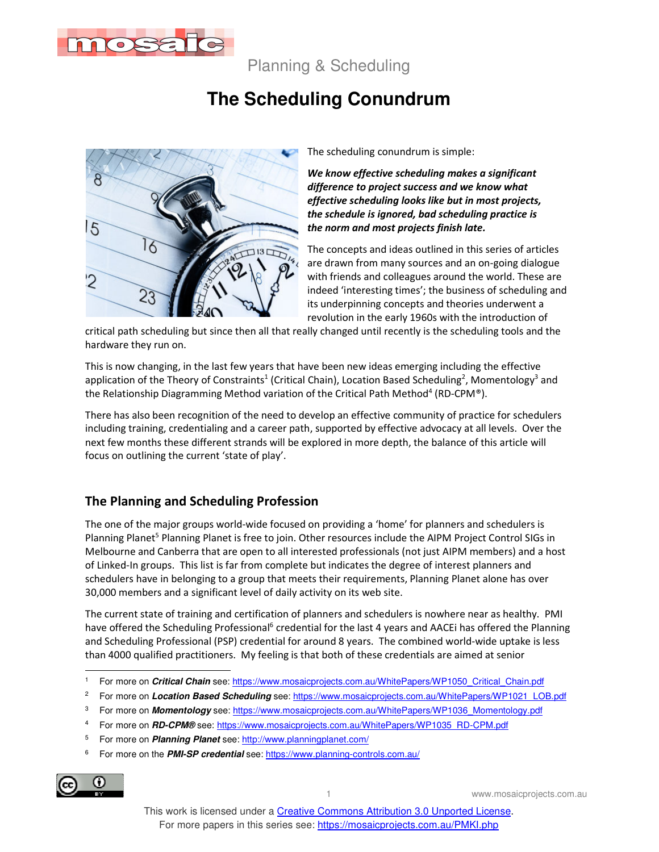

Planning & Scheduling

# **The Scheduling Conundrum**



The scheduling conundrum is simple:

*We know effective scheduling makes a significant difference to project success and we know what effective scheduling looks like but in most projects, the schedule is ignored, bad scheduling practice is the norm and most projects finish late.* 

The concepts and ideas outlined in this series of articles are drawn from many sources and an on-going dialogue with friends and colleagues around the world. These are indeed 'interesting times'; the business of scheduling and its underpinning concepts and theories underwent a revolution in the early 1960s with the introduction of

critical path scheduling but since then all that really changed until recently is the scheduling tools and the hardware they run on.

This is now changing, in the last few years that have been new ideas emerging including the effective application of the Theory of Constraints<sup>1</sup> (Critical Chain), Location Based Scheduling<sup>2</sup>, Momentology<sup>3</sup> and the Relationship Diagramming Method variation of the Critical Path Method<sup>4</sup> (RD-CPM®).

There has also been recognition of the need to develop an effective community of practice for schedulers including training, credentialing and a career path, supported by effective advocacy at all levels. Over the next few months these different strands will be explored in more depth, the balance of this article will focus on outlining the current 'state of play'.

### **The Planning and Scheduling Profession**

The one of the major groups world-wide focused on providing a 'home' for planners and schedulers is Planning Planet<sup>5</sup> Planning Planet is free to join. Other resources include the AIPM Project Control SIGs in Melbourne and Canberra that are open to all interested professionals (not just AIPM members) and a host of Linked-In groups. This list is far from complete but indicates the degree of interest planners and schedulers have in belonging to a group that meets their requirements, Planning Planet alone has over 30,000 members and a significant level of daily activity on its web site.

The current state of training and certification of planners and schedulers is nowhere near as healthy. PMI have offered the Scheduling Professional<sup>6</sup> credential for the last 4 years and AACEi has offered the Planning and Scheduling Professional (PSP) credential for around 8 years. The combined world-wide uptake is less than 4000 qualified practitioners. My feeling is that both of these credentials are aimed at senior

<sup>6</sup> For more on the **PMI-SP credential** see: https://www.planning-controls.com.au/



1 www.mosaicprojects.com.au

 1 For more on **Critical Chain** see: https://www.mosaicprojects.com.au/WhitePapers/WP1050 Critical Chain.pdf

<sup>2</sup> For more on Location Based Scheduling see: https://www.mosaicprojects.com.au/WhitePapers/WP1021\_LOB.pdf

<sup>3</sup> For more on **Momentology** see: https://www.mosaicprojects.com.au/WhitePapers/WP1036\_Momentology.pdf

<sup>4</sup> For more on **RD-CPM®** see: https://www.mosaicprojects.com.au/WhitePapers/WP1035\_RD-CPM.pdf

<sup>5</sup> For more on **Planning Planet** see: http://www.planningplanet.com/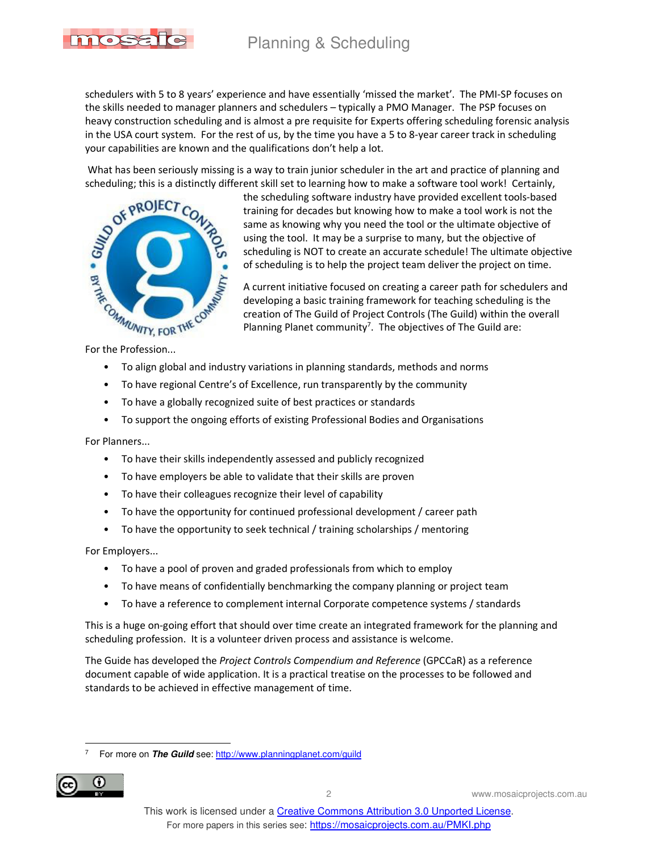## Planning & Scheduling



schedulers with 5 to 8 years' experience and have essentially 'missed the market'. The PMI-SP focuses on the skills needed to manager planners and schedulers – typically a PMO Manager. The PSP focuses on heavy construction scheduling and is almost a pre requisite for Experts offering scheduling forensic analysis in the USA court system. For the rest of us, by the time you have a 5 to 8-year career track in scheduling your capabilities are known and the qualifications don't help a lot.

What has been seriously missing is a way to train junior scheduler in the art and practice of planning and



scheduling; this is a distinctly different skill set to learning how to make a software tool work! Certainly,<br>the scheduling software industry have provided excellent tools-based<br>training for decades but knowing how to mak the scheduling software industry have provided excellent tools-based training for decades but knowing how to make a tool work is not the same as knowing why you need the tool or the ultimate objective of using the tool. It may be a surprise to many, but the objective of scheduling is NOT to create an accurate schedule! The ultimate objective of scheduling is to help the project team deliver the project on time.

> A current initiative focused on creating a career path for schedulers and developing a basic training framework for teaching scheduling is the creation of The Guild of Project Controls (The Guild) within the overall Planning Planet community<sup>7</sup>. The objectives of The Guild are:

For the Profession...

- To align global and industry variations in planning standards, methods and norms
- To have regional Centre's of Excellence, run transparently by the community
- To have a globally recognized suite of best practices or standards
- To support the ongoing efforts of existing Professional Bodies and Organisations

For Planners...

- To have their skills independently assessed and publicly recognized
- To have employers be able to validate that their skills are proven
- To have their colleagues recognize their level of capability
- To have the opportunity for continued professional development / career path
- To have the opportunity to seek technical / training scholarships / mentoring

For Employers...

- To have a pool of proven and graded professionals from which to employ
- To have means of confidentially benchmarking the company planning or project team
- To have a reference to complement internal Corporate competence systems / standards

This is a huge on-going effort that should over time create an integrated framework for the planning and scheduling profession. It is a volunteer driven process and assistance is welcome.

The Guide has developed the *Project Controls Compendium and Reference* (GPCCaR) as a reference document capable of wide application. It is a practical treatise on the processes to be followed and standards to be achieved in effective management of time.

<sup>7</sup> 7 For more on **The Guild** see: http://www.planningplanet.com/guild



2 www.mosaicprojects.com.au